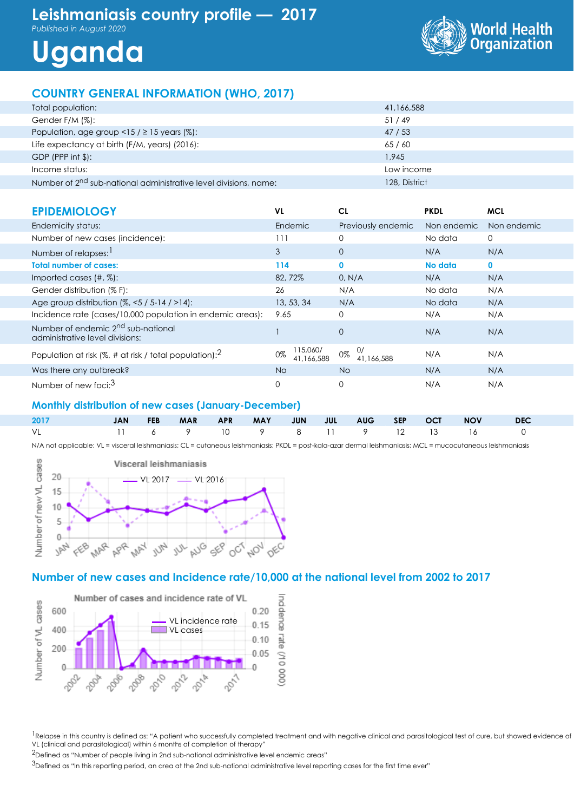## **Leishmaniasis country profile — 2017**

*Published in August 2020*

# **Uganda**



### **COUNTRY GENERAL INFORMATION (WHO, 2017)**

| Total population:                                                            | 41,166,588    |
|------------------------------------------------------------------------------|---------------|
| Gender F/M (%):                                                              | 51/49         |
| Population, age group <15 / $\geq$ 15 years (%):                             | 47 / 53       |
| Life expectancy at birth (F/M, years) (2016):                                | 65/60         |
| $GDP$ (PPP int \$):                                                          | 1.945         |
| Income status:                                                               | Low income    |
| Number of 2 <sup>nd</sup> sub-national administrative level divisions, name: | 128, District |

| <b>EPIDEMIOLOGY</b>                                                               | VL                           | CL                     | <b>PKDL</b> | <b>MCL</b>   |
|-----------------------------------------------------------------------------------|------------------------------|------------------------|-------------|--------------|
| Endemicity status:                                                                | Endemic                      | Previously endemic     | Non endemic | Non endemic  |
| Number of new cases (incidence):                                                  | 111                          | $\Omega$               | No data     | 0            |
| Number of relapses: 1                                                             | 3                            | $\overline{0}$         | N/A         | N/A          |
| <b>Total number of cases:</b>                                                     | 114                          | $\mathbf{0}$           | No data     | $\mathbf{0}$ |
| Imported cases $(\#$ , $\%)$ :                                                    | 82,72%                       | 0, N/A                 | N/A         | N/A          |
| Gender distribution (% F):                                                        | 26                           | N/A                    | No data     | N/A          |
| Age group distribution $(%, < 5 / 5 - 14 / > 14)$ :                               | 13, 53, 34                   | N/A                    | No data     | N/A          |
| Incidence rate (cases/10,000 population in endemic areas):                        | 9.65                         | $\Omega$               | N/A         | N/A          |
| Number of endemic 2 <sup>nd</sup> sub-national<br>administrative level divisions: |                              | $\mathbf{0}$           | N/A         | N/A          |
| Population at risk (%, # at risk / total population): $^2$                        | 115,060/<br>0%<br>41.166.588 | O/<br>0%<br>41.166.588 | N/A         | N/A          |
| Was there any outbreak?                                                           | <b>No</b>                    | No.                    | N/A         | N/A          |
| Number of new foci: <sup>3</sup>                                                  | $\Omega$                     | $\mathbf 0$            | N/A         | N/A          |

#### **Monthly distribution of new cases (January-December)**

| 2017                         |  |  |  |  |  | JAN FEB MAR APR MAY JUN JUL AUG SEP OCT NOV DEC |  |
|------------------------------|--|--|--|--|--|-------------------------------------------------|--|
| 1 6 9 10 9 8 11 9 12 13 16 0 |  |  |  |  |  |                                                 |  |

N/A not applicable; VL = visceral leishmaniasis; CL = cutaneous leishmaniasis; PKDL = post-kala-azar dermal leishmaniasis; MCL = mucocutaneous leishmaniasis



#### **Number of new cases and Incidence rate/10,000 at the national level from 2002 to 2017**



<sup>1</sup>Relapse in this country is defined as: "A patient who successfully completed treatment and with negative clinical and parasitological test of cure, but showed evidence of VL (clinical and parasitological) within 6 months of completion of therapy"

2Defined as "Number of people living in 2nd sub-national administrative level endemic areas"

<sup>3</sup>Defined as "In this reporting period, an area at the 2nd sub-national administrative level reporting cases for the first time ever"